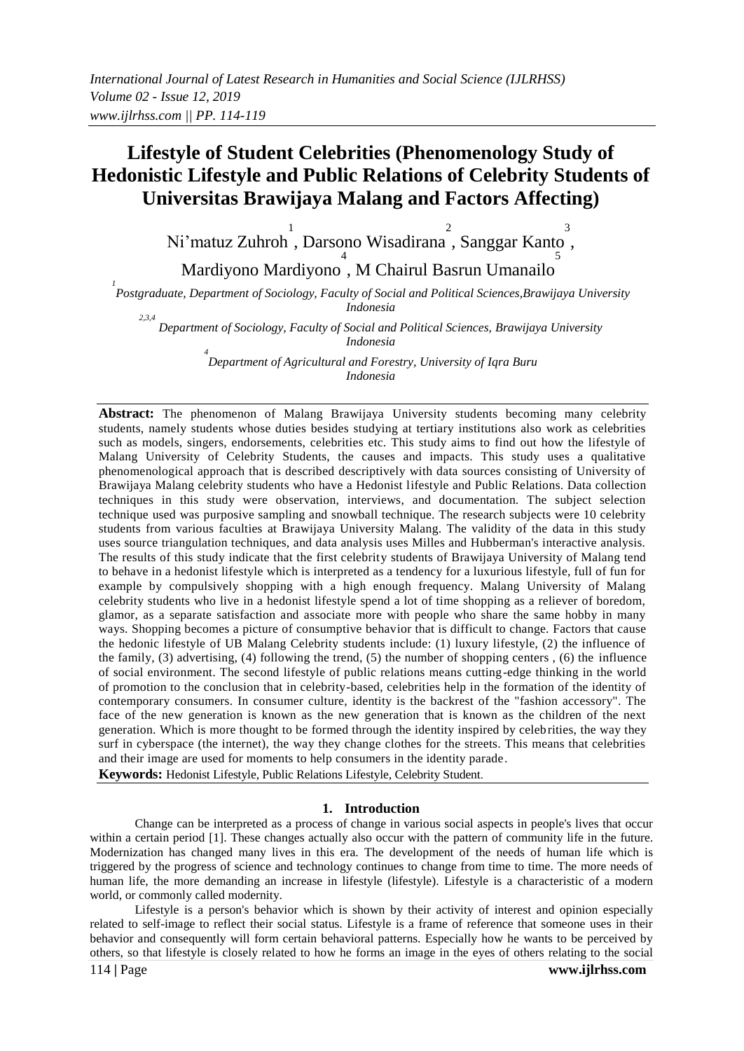# **Lifestyle of Student Celebrities (Phenomenology Study of Hedonistic Lifestyle and Public Relations of Celebrity Students of Universitas Brawijaya Malang and Factors Affecting)**

Ni'matuz Zuhroh 1 , Darsono Wisadirana 2 , Sanggar Kanto 3 , 4 5

Mardiyono Mardiyono , M Chairul Basrun Umanailo

*1 Postgraduate, Department of Sociology, Faculty of Social and Political Sciences,Brawijaya University Indonesia*

*2,3,4 Department of Sociology, Faculty of Social and Political Sciences, Brawijaya University Indonesia*

*4 Department of Agricultural and Forestry, University of Iqra Buru Indonesia*

**Abstract:** The phenomenon of Malang Brawijaya University students becoming many celebrity students, namely students whose duties besides studying at tertiary institutions also work as celebrities such as models, singers, endorsements, celebrities etc. This study aims to find out how the lifestyle of Malang University of Celebrity Students, the causes and impacts. This study uses a qualitative phenomenological approach that is described descriptively with data sources consisting of University of Brawijaya Malang celebrity students who have a Hedonist lifestyle and Public Relations. Data collection techniques in this study were observation, interviews, and documentation. The subject selection technique used was purposive sampling and snowball technique. The research subjects were 10 celebrity students from various faculties at Brawijaya University Malang. The validity of the data in this study uses source triangulation techniques, and data analysis uses Milles and Hubberman's interactive analysis. The results of this study indicate that the first celebrity students of Brawijaya University of Malang tend to behave in a hedonist lifestyle which is interpreted as a tendency for a luxurious lifestyle, full of fun for example by compulsively shopping with a high enough frequency. Malang University of Malang celebrity students who live in a hedonist lifestyle spend a lot of time shopping as a reliever of boredom, glamor, as a separate satisfaction and associate more with people who share the same hobby in many ways. Shopping becomes a picture of consumptive behavior that is difficult to change. Factors that cause the hedonic lifestyle of UB Malang Celebrity students include: (1) luxury lifestyle, (2) the influence of the family, (3) advertising, (4) following the trend, (5) the number of shopping centers , (6) the influence of social environment. The second lifestyle of public relations means cutting-edge thinking in the world of promotion to the conclusion that in celebrity-based, celebrities help in the formation of the identity of contemporary consumers. In consumer culture, identity is the backrest of the "fashion accessory". The face of the new generation is known as the new generation that is known as the children of the next generation. Which is more thought to be formed through the identity inspired by celebrities, the way they surf in cyberspace (the internet), the way they change clothes for the streets. This means that celebrities and their image are used for moments to help consumers in the identity parade.

**Keywords:** Hedonist Lifestyle, Public Relations Lifestyle, Celebrity Student.

#### **1. Introduction**

Change can be interpreted as a process of change in various social aspects in people's lives that occur within a certain period [1]. These changes actually also occur with the pattern of community life in the future. Modernization has changed many lives in this era. The development of the needs of human life which is triggered by the progress of science and technology continues to change from time to time. The more needs of human life, the more demanding an increase in lifestyle (lifestyle). Lifestyle is a characteristic of a modern world, or commonly called modernity.

114 **|** Page **www.ijlrhss.com** Lifestyle is a person's behavior which is shown by their activity of interest and opinion especially related to self-image to reflect their social status. Lifestyle is a frame of reference that someone uses in their behavior and consequently will form certain behavioral patterns. Especially how he wants to be perceived by others, so that lifestyle is closely related to how he forms an image in the eyes of others relating to the social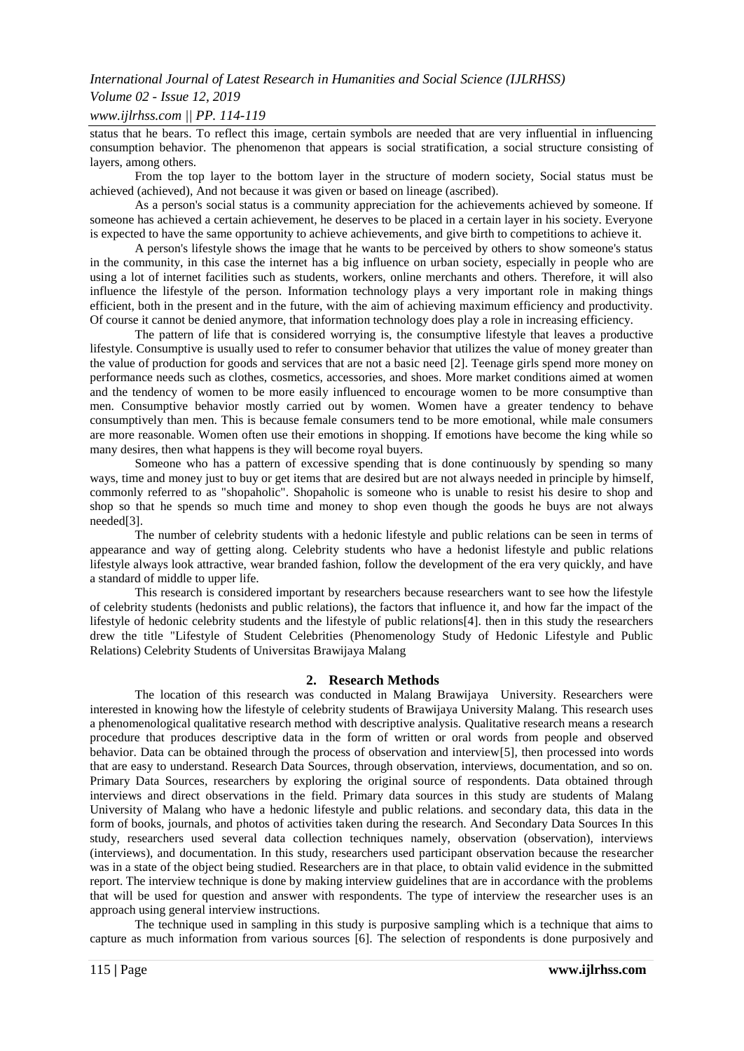# *Volume 02 - Issue 12, 2019*

## *www.ijlrhss.com || PP. 114-119*

status that he bears. To reflect this image, certain symbols are needed that are very influential in influencing consumption behavior. The phenomenon that appears is social stratification, a social structure consisting of layers, among others.

From the top layer to the bottom layer in the structure of modern society, Social status must be achieved (achieved), And not because it was given or based on lineage (ascribed).

As a person's social status is a community appreciation for the achievements achieved by someone. If someone has achieved a certain achievement, he deserves to be placed in a certain layer in his society. Everyone is expected to have the same opportunity to achieve achievements, and give birth to competitions to achieve it.

A person's lifestyle shows the image that he wants to be perceived by others to show someone's status in the community, in this case the internet has a big influence on urban society, especially in people who are using a lot of internet facilities such as students, workers, online merchants and others. Therefore, it will also influence the lifestyle of the person. Information technology plays a very important role in making things efficient, both in the present and in the future, with the aim of achieving maximum efficiency and productivity. Of course it cannot be denied anymore, that information technology does play a role in increasing efficiency.

The pattern of life that is considered worrying is, the consumptive lifestyle that leaves a productive lifestyle. Consumptive is usually used to refer to consumer behavior that utilizes the value of money greater than the value of production for goods and services that are not a basic need [2]. Teenage girls spend more money on performance needs such as clothes, cosmetics, accessories, and shoes. More market conditions aimed at women and the tendency of women to be more easily influenced to encourage women to be more consumptive than men. Consumptive behavior mostly carried out by women. Women have a greater tendency to behave consumptively than men. This is because female consumers tend to be more emotional, while male consumers are more reasonable. Women often use their emotions in shopping. If emotions have become the king while so many desires, then what happens is they will become royal buyers.

Someone who has a pattern of excessive spending that is done continuously by spending so many ways, time and money just to buy or get items that are desired but are not always needed in principle by himself, commonly referred to as "shopaholic". Shopaholic is someone who is unable to resist his desire to shop and shop so that he spends so much time and money to shop even though the goods he buys are not always needed[3].

The number of celebrity students with a hedonic lifestyle and public relations can be seen in terms of appearance and way of getting along. Celebrity students who have a hedonist lifestyle and public relations lifestyle always look attractive, wear branded fashion, follow the development of the era very quickly, and have a standard of middle to upper life.

This research is considered important by researchers because researchers want to see how the lifestyle of celebrity students (hedonists and public relations), the factors that influence it, and how far the impact of the lifestyle of hedonic celebrity students and the lifestyle of public relations[4]. then in this study the researchers drew the title "Lifestyle of Student Celebrities (Phenomenology Study of Hedonic Lifestyle and Public Relations) Celebrity Students of Universitas Brawijaya Malang

## **2. Research Methods**

The location of this research was conducted in Malang Brawijaya University. Researchers were interested in knowing how the lifestyle of celebrity students of Brawijaya University Malang. This research uses a phenomenological qualitative research method with descriptive analysis. Qualitative research means a research procedure that produces descriptive data in the form of written or oral words from people and observed behavior. Data can be obtained through the process of observation and interview[5], then processed into words that are easy to understand. Research Data Sources, through observation, interviews, documentation, and so on. Primary Data Sources, researchers by exploring the original source of respondents. Data obtained through interviews and direct observations in the field. Primary data sources in this study are students of Malang University of Malang who have a hedonic lifestyle and public relations. and secondary data, this data in the form of books, journals, and photos of activities taken during the research. And Secondary Data Sources In this study, researchers used several data collection techniques namely, observation (observation), interviews (interviews), and documentation. In this study, researchers used participant observation because the researcher was in a state of the object being studied. Researchers are in that place, to obtain valid evidence in the submitted report. The interview technique is done by making interview guidelines that are in accordance with the problems that will be used for question and answer with respondents. The type of interview the researcher uses is an approach using general interview instructions.

The technique used in sampling in this study is purposive sampling which is a technique that aims to capture as much information from various sources [6]. The selection of respondents is done purposively and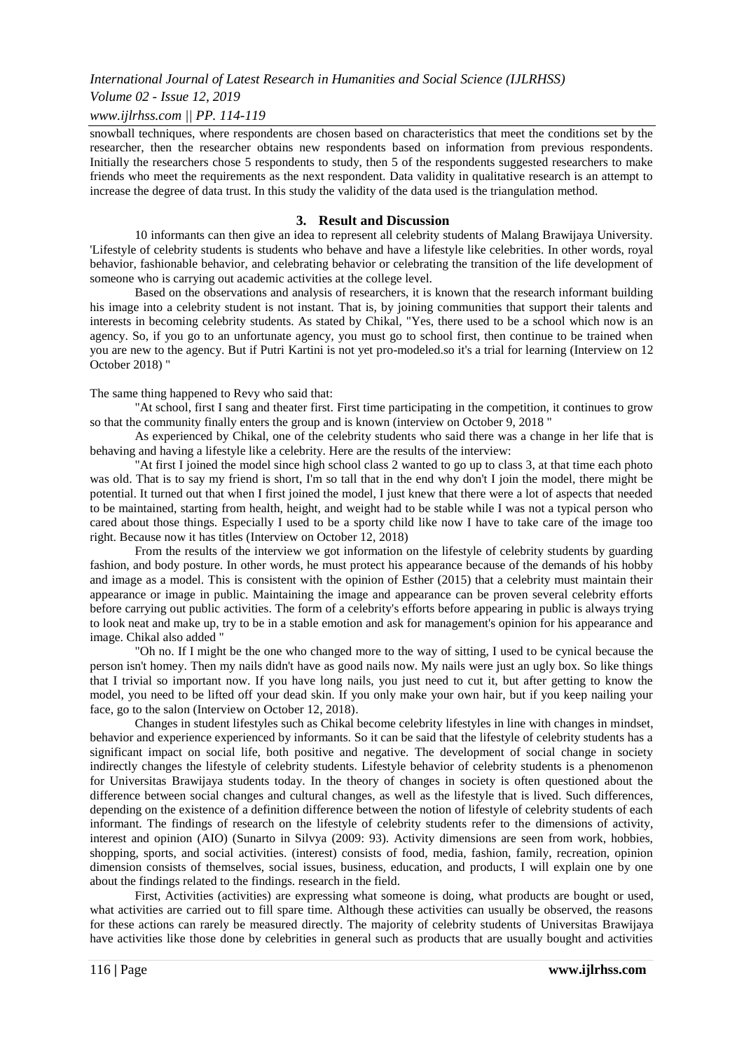# *Volume 02 - Issue 12, 2019*

# *www.ijlrhss.com || PP. 114-119*

snowball techniques, where respondents are chosen based on characteristics that meet the conditions set by the researcher, then the researcher obtains new respondents based on information from previous respondents. Initially the researchers chose 5 respondents to study, then 5 of the respondents suggested researchers to make friends who meet the requirements as the next respondent. Data validity in qualitative research is an attempt to increase the degree of data trust. In this study the validity of the data used is the triangulation method.

## **3. Result and Discussion**

10 informants can then give an idea to represent all celebrity students of Malang Brawijaya University. 'Lifestyle of celebrity students is students who behave and have a lifestyle like celebrities. In other words, royal behavior, fashionable behavior, and celebrating behavior or celebrating the transition of the life development of someone who is carrying out academic activities at the college level.

Based on the observations and analysis of researchers, it is known that the research informant building his image into a celebrity student is not instant. That is, by joining communities that support their talents and interests in becoming celebrity students. As stated by Chikal, "Yes, there used to be a school which now is an agency. So, if you go to an unfortunate agency, you must go to school first, then continue to be trained when you are new to the agency. But if Putri Kartini is not yet pro-modeled.so it's a trial for learning (Interview on 12 October 2018) "

#### The same thing happened to Revy who said that:

"At school, first I sang and theater first. First time participating in the competition, it continues to grow so that the community finally enters the group and is known (interview on October 9, 2018 "

As experienced by Chikal, one of the celebrity students who said there was a change in her life that is behaving and having a lifestyle like a celebrity. Here are the results of the interview:

"At first I joined the model since high school class 2 wanted to go up to class 3, at that time each photo was old. That is to say my friend is short, I'm so tall that in the end why don't I join the model, there might be potential. It turned out that when I first joined the model, I just knew that there were a lot of aspects that needed to be maintained, starting from health, height, and weight had to be stable while I was not a typical person who cared about those things. Especially I used to be a sporty child like now I have to take care of the image too right. Because now it has titles (Interview on October 12, 2018)

From the results of the interview we got information on the lifestyle of celebrity students by guarding fashion, and body posture. In other words, he must protect his appearance because of the demands of his hobby and image as a model. This is consistent with the opinion of Esther (2015) that a celebrity must maintain their appearance or image in public. Maintaining the image and appearance can be proven several celebrity efforts before carrying out public activities. The form of a celebrity's efforts before appearing in public is always trying to look neat and make up, try to be in a stable emotion and ask for management's opinion for his appearance and image. Chikal also added "

"Oh no. If I might be the one who changed more to the way of sitting, I used to be cynical because the person isn't homey. Then my nails didn't have as good nails now. My nails were just an ugly box. So like things that I trivial so important now. If you have long nails, you just need to cut it, but after getting to know the model, you need to be lifted off your dead skin. If you only make your own hair, but if you keep nailing your face, go to the salon (Interview on October 12, 2018).

Changes in student lifestyles such as Chikal become celebrity lifestyles in line with changes in mindset, behavior and experience experienced by informants. So it can be said that the lifestyle of celebrity students has a significant impact on social life, both positive and negative. The development of social change in society indirectly changes the lifestyle of celebrity students. Lifestyle behavior of celebrity students is a phenomenon for Universitas Brawijaya students today. In the theory of changes in society is often questioned about the difference between social changes and cultural changes, as well as the lifestyle that is lived. Such differences, depending on the existence of a definition difference between the notion of lifestyle of celebrity students of each informant. The findings of research on the lifestyle of celebrity students refer to the dimensions of activity, interest and opinion (AIO) (Sunarto in Silvya (2009: 93). Activity dimensions are seen from work, hobbies, shopping, sports, and social activities. (interest) consists of food, media, fashion, family, recreation, opinion dimension consists of themselves, social issues, business, education, and products, I will explain one by one about the findings related to the findings. research in the field.

First, Activities (activities) are expressing what someone is doing, what products are bought or used, what activities are carried out to fill spare time. Although these activities can usually be observed, the reasons for these actions can rarely be measured directly. The majority of celebrity students of Universitas Brawijaya have activities like those done by celebrities in general such as products that are usually bought and activities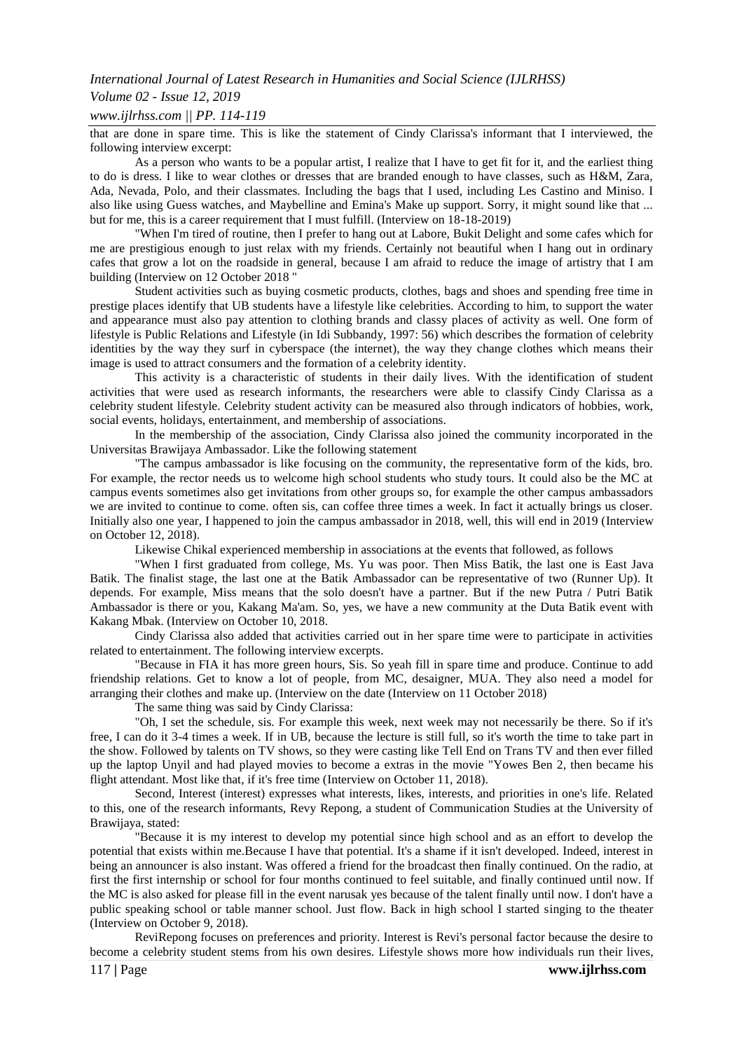# *Volume 02 - Issue 12, 2019*

## *www.ijlrhss.com || PP. 114-119*

that are done in spare time. This is like the statement of Cindy Clarissa's informant that I interviewed, the following interview excerpt:

As a person who wants to be a popular artist, I realize that I have to get fit for it, and the earliest thing to do is dress. I like to wear clothes or dresses that are branded enough to have classes, such as H&M, Zara, Ada, Nevada, Polo, and their classmates. Including the bags that I used, including Les Castino and Miniso. I also like using Guess watches, and Maybelline and Emina's Make up support. Sorry, it might sound like that ... but for me, this is a career requirement that I must fulfill. (Interview on 18-18-2019)

"When I'm tired of routine, then I prefer to hang out at Labore, Bukit Delight and some cafes which for me are prestigious enough to just relax with my friends. Certainly not beautiful when I hang out in ordinary cafes that grow a lot on the roadside in general, because I am afraid to reduce the image of artistry that I am building (Interview on 12 October 2018 "

Student activities such as buying cosmetic products, clothes, bags and shoes and spending free time in prestige places identify that UB students have a lifestyle like celebrities. According to him, to support the water and appearance must also pay attention to clothing brands and classy places of activity as well. One form of lifestyle is Public Relations and Lifestyle (in Idi Subbandy, 1997: 56) which describes the formation of celebrity identities by the way they surf in cyberspace (the internet), the way they change clothes which means their image is used to attract consumers and the formation of a celebrity identity.

This activity is a characteristic of students in their daily lives. With the identification of student activities that were used as research informants, the researchers were able to classify Cindy Clarissa as a celebrity student lifestyle. Celebrity student activity can be measured also through indicators of hobbies, work, social events, holidays, entertainment, and membership of associations.

In the membership of the association, Cindy Clarissa also joined the community incorporated in the Universitas Brawijaya Ambassador. Like the following statement

"The campus ambassador is like focusing on the community, the representative form of the kids, bro. For example, the rector needs us to welcome high school students who study tours. It could also be the MC at campus events sometimes also get invitations from other groups so, for example the other campus ambassadors we are invited to continue to come. often sis, can coffee three times a week. In fact it actually brings us closer. Initially also one year, I happened to join the campus ambassador in 2018, well, this will end in 2019 (Interview on October 12, 2018).

Likewise Chikal experienced membership in associations at the events that followed, as follows

"When I first graduated from college, Ms. Yu was poor. Then Miss Batik, the last one is East Java Batik. The finalist stage, the last one at the Batik Ambassador can be representative of two (Runner Up). It depends. For example, Miss means that the solo doesn't have a partner. But if the new Putra / Putri Batik Ambassador is there or you, Kakang Ma'am. So, yes, we have a new community at the Duta Batik event with Kakang Mbak. (Interview on October 10, 2018.

Cindy Clarissa also added that activities carried out in her spare time were to participate in activities related to entertainment. The following interview excerpts.

"Because in FIA it has more green hours, Sis. So yeah fill in spare time and produce. Continue to add friendship relations. Get to know a lot of people, from MC, desaigner, MUA. They also need a model for arranging their clothes and make up. (Interview on the date (Interview on 11 October 2018)

The same thing was said by Cindy Clarissa:

"Oh, I set the schedule, sis. For example this week, next week may not necessarily be there. So if it's free, I can do it 3-4 times a week. If in UB, because the lecture is still full, so it's worth the time to take part in the show. Followed by talents on TV shows, so they were casting like Tell End on Trans TV and then ever filled up the laptop Unyil and had played movies to become a extras in the movie "Yowes Ben 2, then became his flight attendant. Most like that, if it's free time (Interview on October 11, 2018).

Second, Interest (interest) expresses what interests, likes, interests, and priorities in one's life. Related to this, one of the research informants, Revy Repong, a student of Communication Studies at the University of Brawijaya, stated:

"Because it is my interest to develop my potential since high school and as an effort to develop the potential that exists within me.Because I have that potential. It's a shame if it isn't developed. Indeed, interest in being an announcer is also instant. Was offered a friend for the broadcast then finally continued. On the radio, at first the first internship or school for four months continued to feel suitable, and finally continued until now. If the MC is also asked for please fill in the event narusak yes because of the talent finally until now. I don't have a public speaking school or table manner school. Just flow. Back in high school I started singing to the theater (Interview on October 9, 2018).

ReviRepong focuses on preferences and priority. Interest is Revi's personal factor because the desire to become a celebrity student stems from his own desires. Lifestyle shows more how individuals run their lives,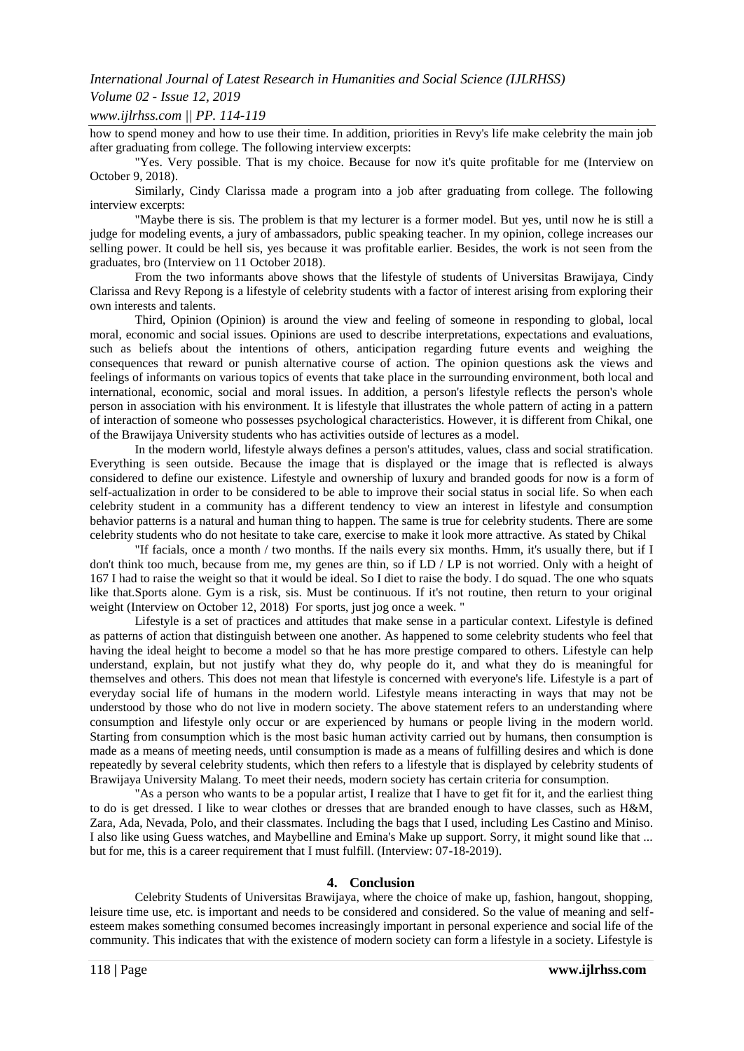# *Volume 02 - Issue 12, 2019*

## *www.ijlrhss.com || PP. 114-119*

how to spend money and how to use their time. In addition, priorities in Revy's life make celebrity the main job after graduating from college. The following interview excerpts:

"Yes. Very possible. That is my choice. Because for now it's quite profitable for me (Interview on October 9, 2018).

Similarly, Cindy Clarissa made a program into a job after graduating from college. The following interview excerpts:

"Maybe there is sis. The problem is that my lecturer is a former model. But yes, until now he is still a judge for modeling events, a jury of ambassadors, public speaking teacher. In my opinion, college increases our selling power. It could be hell sis, yes because it was profitable earlier. Besides, the work is not seen from the graduates, bro (Interview on 11 October 2018).

From the two informants above shows that the lifestyle of students of Universitas Brawijaya, Cindy Clarissa and Revy Repong is a lifestyle of celebrity students with a factor of interest arising from exploring their own interests and talents.

Third, Opinion (Opinion) is around the view and feeling of someone in responding to global, local moral, economic and social issues. Opinions are used to describe interpretations, expectations and evaluations, such as beliefs about the intentions of others, anticipation regarding future events and weighing the consequences that reward or punish alternative course of action. The opinion questions ask the views and feelings of informants on various topics of events that take place in the surrounding environment, both local and international, economic, social and moral issues. In addition, a person's lifestyle reflects the person's whole person in association with his environment. It is lifestyle that illustrates the whole pattern of acting in a pattern of interaction of someone who possesses psychological characteristics. However, it is different from Chikal, one of the Brawijaya University students who has activities outside of lectures as a model.

In the modern world, lifestyle always defines a person's attitudes, values, class and social stratification. Everything is seen outside. Because the image that is displayed or the image that is reflected is always considered to define our existence. Lifestyle and ownership of luxury and branded goods for now is a form of self-actualization in order to be considered to be able to improve their social status in social life. So when each celebrity student in a community has a different tendency to view an interest in lifestyle and consumption behavior patterns is a natural and human thing to happen. The same is true for celebrity students. There are some celebrity students who do not hesitate to take care, exercise to make it look more attractive. As stated by Chikal

"If facials, once a month / two months. If the nails every six months. Hmm, it's usually there, but if I don't think too much, because from me, my genes are thin, so if LD / LP is not worried. Only with a height of 167 I had to raise the weight so that it would be ideal. So I diet to raise the body. I do squad. The one who squats like that.Sports alone. Gym is a risk, sis. Must be continuous. If it's not routine, then return to your original weight (Interview on October 12, 2018) For sports, just jog once a week. "

Lifestyle is a set of practices and attitudes that make sense in a particular context. Lifestyle is defined as patterns of action that distinguish between one another. As happened to some celebrity students who feel that having the ideal height to become a model so that he has more prestige compared to others. Lifestyle can help understand, explain, but not justify what they do, why people do it, and what they do is meaningful for themselves and others. This does not mean that lifestyle is concerned with everyone's life. Lifestyle is a part of everyday social life of humans in the modern world. Lifestyle means interacting in ways that may not be understood by those who do not live in modern society. The above statement refers to an understanding where consumption and lifestyle only occur or are experienced by humans or people living in the modern world. Starting from consumption which is the most basic human activity carried out by humans, then consumption is made as a means of meeting needs, until consumption is made as a means of fulfilling desires and which is done repeatedly by several celebrity students, which then refers to a lifestyle that is displayed by celebrity students of Brawijaya University Malang. To meet their needs, modern society has certain criteria for consumption.

"As a person who wants to be a popular artist, I realize that I have to get fit for it, and the earliest thing to do is get dressed. I like to wear clothes or dresses that are branded enough to have classes, such as H&M, Zara, Ada, Nevada, Polo, and their classmates. Including the bags that I used, including Les Castino and Miniso. I also like using Guess watches, and Maybelline and Emina's Make up support. Sorry, it might sound like that ... but for me, this is a career requirement that I must fulfill. (Interview: 07-18-2019).

## **4. Conclusion**

Celebrity Students of Universitas Brawijaya, where the choice of make up, fashion, hangout, shopping, leisure time use, etc. is important and needs to be considered and considered. So the value of meaning and selfesteem makes something consumed becomes increasingly important in personal experience and social life of the community. This indicates that with the existence of modern society can form a lifestyle in a society. Lifestyle is